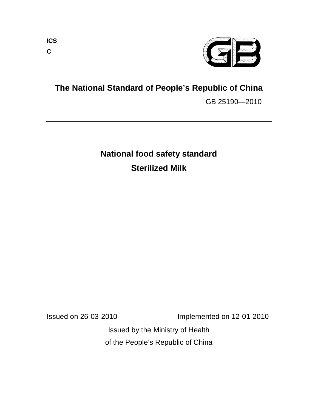

**The National Standard of People's Republic of China**

GB 25190—2010

# **National food safety standard Sterilized Milk**

Issued on 26-03-2010 Implemented on 12-01-2010

Issued by the Ministry of Health of the People's Republic of China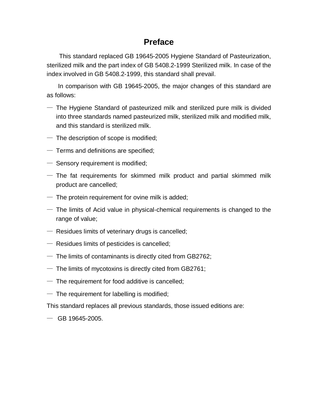# **Preface**

This standard replaced GB 19645-2005 Hygiene Standard of Pasteurization, sterilized milk and the part index of GB 5408.2-1999 Sterilized milk. In case of the index involved in GB 5408.2-1999, this standard shall prevail.

In comparison with GB 19645-2005, the major changes of this standard are as follows:

- $-$  The Hygiene Standard of pasteurized milk and sterilized pure milk is divided into three standards named pasteurized milk, sterilized milk and modified milk, and this standard is sterilized milk.
- $-$  The description of scope is modified;
- $-$  Terms and definitions are specified;
- Sensory requirement is modified;
- $-$  The fat requirements for skimmed milk product and partial skimmed milk product are cancelled;
- $-$  The protein requirement for ovine milk is added;
- $-$  The limits of Acid value in physical-chemical requirements is changed to the range of value;
- $-$  Residues limits of veterinary drugs is cancelled;
- Residues limits of pesticides is cancelled;
- $-$  The limits of contaminants is directly cited from GB2762;
- $-$  The limits of mycotoxins is directly cited from GB2761;
- $-$  The requirement for food additive is cancelled;
- $-$  The requirement for labelling is modified;

This standard replaces all previous standards, those issued editions are:

 $-$  GB 19645-2005.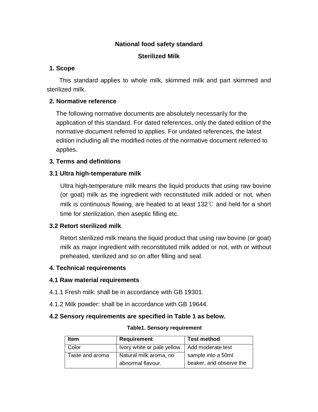# **National food safety standard**

## **Sterilized Milk**

# **1. Scope**

This standard applies to whole milk, skimmed milk and part skimmed and sterilized milk.

# **2. Normative reference**

The following normative documents are absolutely necessarily for the application of this standard. For dated references, only the dated edition of the normative document referred to applies. For undated references, the latest edition including all the modified notes of the normative document referred to applies.

# **3. Terms and definitions**

# **3.1 Ultra high-temperature milk**

Ultra high-temperature milk means the liquid products that using raw bovine (or goat) milk as the ingredient with reconstituted milk added or not, when milk is continuous flowing, are heated to at least 132℃ and held for a short time for sterilization, then aseptic filling etc.

# **3.2 Retort sterilized milk**

Retort sterilized milk means the liquid product that using raw bovine (or goat) milk as major ingredient with reconstituted milk added or not, with or without preheated, sterilized and so on after filling and seal.

## **4. Technical requirements**

# **4.1 Raw material requirements**

- 4.1.1 Fresh milk: shall be in accordance with GB 19301.
- 4.1.2 Milk powder: shall be in accordance with GB 19644.

## **4.2 Sensory requirements are specified in Table 1 as below.**

#### **Table1. Sensory requirement**

| <b>Item</b>     | <b>Requirement</b>                              | <b>Test method</b>      |  |
|-----------------|-------------------------------------------------|-------------------------|--|
| Color           | Ivory white or pale yellow.   Add moderate test |                         |  |
| Taste and aroma | Natural milk aroma, no                          | sample into a 50ml      |  |
|                 | abnormal flavour.                               | beaker, and observe the |  |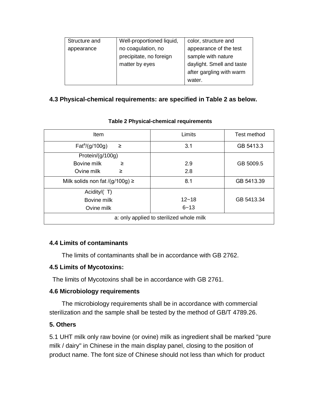| Structure and | Well-proportioned liquid, | color, structure and      |  |
|---------------|---------------------------|---------------------------|--|
| appearance    | no coagulation, no        | appearance of the test    |  |
|               | precipitate, no foreign   | sample with nature        |  |
|               | matter by eyes            | daylight. Smell and taste |  |
|               |                           | after gargling with warm  |  |
|               |                           | water.                    |  |

# **4.3 Physical-chemical requirements: are specified in Table 2 as below.**

| Item                                     | Limits    | Test method |  |
|------------------------------------------|-----------|-------------|--|
| $Fat^a/(g/100g)$<br>≥                    | 3.1       | GB 5413.3   |  |
| Protein/(g/100g)                         |           |             |  |
| Bovine milk<br>≥                         | 2.9       | GB 5009.5   |  |
| Ovine milk<br>≥                          | 2.8       |             |  |
| Milk solids non fat /(g/100g) $\ge$      | 8.1       | GB 5413.39  |  |
| Acidity/ $(^{\circ}T)$                   |           |             |  |
| Bovine milk                              | $12 - 18$ | GB 5413.34  |  |
| Ovine milk                               | $6 - 13$  |             |  |
| a: only applied to sterilized whole milk |           |             |  |

#### **Table 2 Physical-chemical requirements**

## **4.4 Limits of contaminants**

The limits of contaminants shall be in accordance with GB 2762.

## **4.5 Limits of Mycotoxins:**

The limits of Mycotoxins shall be in accordance with GB 2761.

## **4.6 Microbiology requirements**

The microbiology requirements shall be in accordance with commercial sterilization and the sample shall be tested by the method of GB/T 4789.26.

## **5. Others**

5.1 UHT milk only raw bovine (or ovine) milk as ingredient shall be marked "pure milk / dairy" in Chinese in the main display panel, closing to the position of product name. The font size of Chinese should not less than which for product